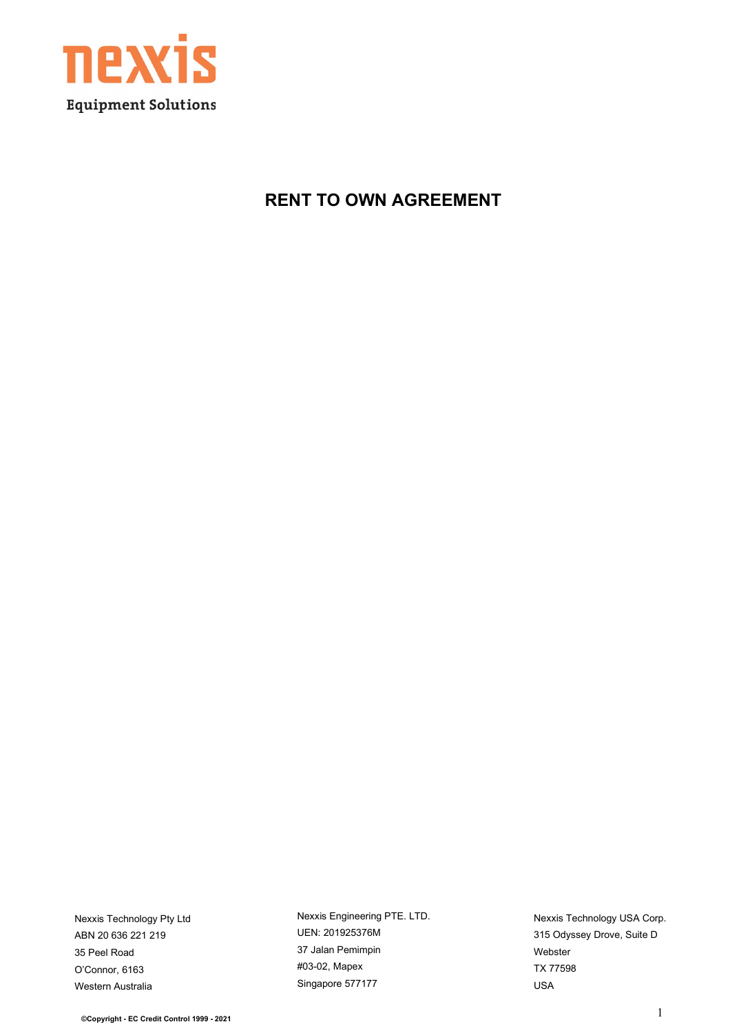

**RENT TO OWN AGREEMENT**

Nexxis Technology Pty Ltd ABN 20 636 221 219 35 Peel Road O'Connor, 6163 Western Australia

Nexxis Engineering PTE. LTD. UEN: 201925376M 37 Jalan Pemimpin #03-02, Mapex Singapore 577177

Nexxis Technology USA Corp. 315 Odyssey Drove, Suite D Webster TX 77598 USA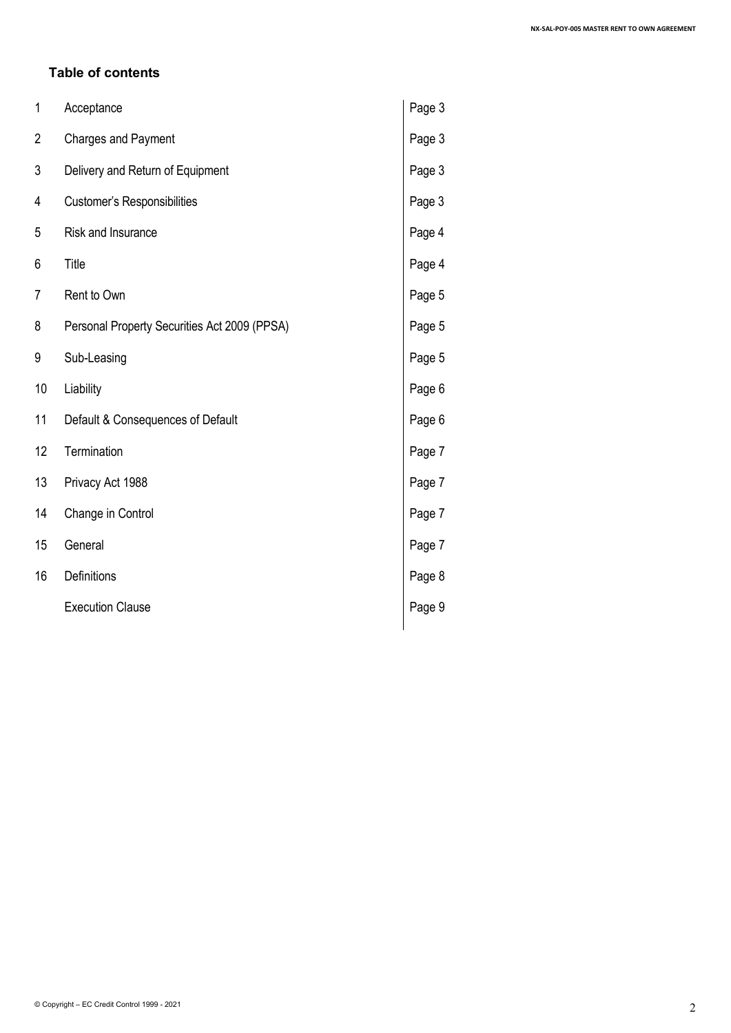### **Table of contents**

| 1              | Acceptance                                   | Page 3 |
|----------------|----------------------------------------------|--------|
| $\overline{2}$ | <b>Charges and Payment</b>                   | Page 3 |
| 3              | Delivery and Return of Equipment             | Page 3 |
| 4              | Customer's Responsibilities                  | Page 3 |
| 5              | Risk and Insurance                           | Page 4 |
| 6              | Title                                        | Page 4 |
| 7              | Rent to Own                                  | Page 5 |
| 8              | Personal Property Securities Act 2009 (PPSA) | Page 5 |
| 9              | Sub-Leasing                                  | Page 5 |
| 10             | Liability                                    | Page 6 |
| 11             | Default & Consequences of Default            | Page 6 |
| 12             | Termination                                  | Page 7 |
| 13             | Privacy Act 1988                             | Page 7 |
| 14             | Change in Control                            | Page 7 |
| 15             | General                                      | Page 7 |
| 16             | Definitions                                  | Page 8 |
|                | <b>Execution Clause</b>                      | Page 9 |
|                |                                              |        |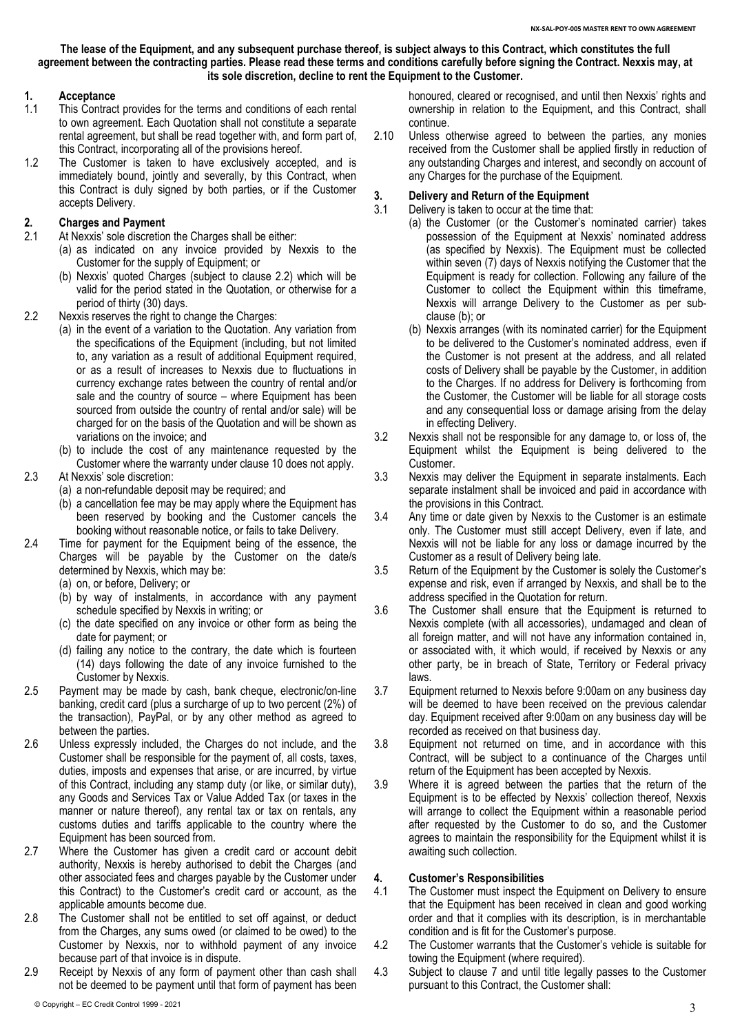**The lease of the Equipment, and any subsequent purchase thereof, is subject always to this Contract, which constitutes the full agreement between the contracting parties. Please read these terms and conditions carefully before signing the Contract. Nexxis may, at its sole discretion, decline to rent the Equipment to the Customer.**

# **1. Acceptance**

- This Contract provides for the terms and conditions of each rental to own agreement. Each Quotation shall not constitute a separate rental agreement, but shall be read together with, and form part of, this Contract, incorporating all of the provisions hereof.
- 1.2 The Customer is taken to have exclusively accepted, and is immediately bound, jointly and severally, by this Contract, when this Contract is duly signed by both parties, or if the Customer accepts Delivery.

# <span id="page-2-2"></span>**2. Charges and Payment**

- At Nexxis' sole discretion the Charges shall be either:
	- (a) as indicated on any invoice provided by Nexxis to the Customer for the supply of Equipment; or
	- (b) Nexxis' quoted Charges (subject to clause [2.2\)](#page-2-0) which will be valid for the period stated in the Quotation, or otherwise for a period of thirty (30) days.
- <span id="page-2-0"></span>2.2 Nexxis reserves the right to change the Charges:
	- (a) in the event of a variation to the Quotation. Any variation from the specifications of the Equipment (including, but not limited to, any variation as a result of additional Equipment required, or as a result of increases to Nexxis due to fluctuations in currency exchange rates between the country of rental and/or sale and the country of source – where Equipment has been sourced from outside the country of rental and/or sale) will be charged for on the basis of the Quotation and will be shown as variations on the invoice; and
	- (b) to include the cost of any maintenance requested by the Customer where the warranty under clause 10 does not apply.
- 2.3 At Nexxis' sole discretion:
	- (a) a non-refundable deposit may be required; and
	- (b) a cancellation fee may be may apply where the Equipment has been reserved by booking and the Customer cancels the booking without reasonable notice, or fails to take Delivery.
- 2.4 Time for payment for the Equipment being of the essence, the Charges will be payable by the Customer on the date/s determined by Nexxis, which may be:
	- (a) on, or before, Delivery; or
	- (b) by way of instalments, in accordance with any payment schedule specified by Nexxis in writing; or
	- (c) the date specified on any invoice or other form as being the date for payment; or
	- (d) failing any notice to the contrary, the date which is fourteen (14) days following the date of any invoice furnished to the Customer by Nexxis.
- 2.5 Payment may be made by cash, bank cheque, electronic/on-line banking, credit card (plus a surcharge of up to two percent (2%) of the transaction), PayPal, or by any other method as agreed to between the parties.
- 2.6 Unless expressly included, the Charges do not include, and the Customer shall be responsible for the payment of, all costs, taxes, duties, imposts and expenses that arise, or are incurred, by virtue of this Contract, including any stamp duty (or like, or similar duty), any Goods and Services Tax or Value Added Tax (or taxes in the manner or nature thereof), any rental tax or tax on rentals, any customs duties and tariffs applicable to the country where the Equipment has been sourced from.
- 2.7 Where the Customer has given a credit card or account debit authority, Nexxis is hereby authorised to debit the Charges (and other associated fees and charges payable by the Customer under this Contract) to the Customer's credit card or account, as the applicable amounts become due.
- 2.8 The Customer shall not be entitled to set off against, or deduct from the Charges, any sums owed (or claimed to be owed) to the Customer by Nexxis, nor to withhold payment of any invoice because part of that invoice is in dispute.
- 2.9 Receipt by Nexxis of any form of payment other than cash shall not be deemed to be payment until that form of payment has been

honoured, cleared or recognised, and until then Nexxis' rights and ownership in relation to the Equipment, and this Contract, shall continue.

2.10 Unless otherwise agreed to between the parties, any monies received from the Customer shall be applied firstly in reduction of any outstanding Charges and interest, and secondly on account of any Charges for the purchase of the Equipment.

# **3. Delivery and Return of the Equipment**

- Delivery is taken to occur at the time that: (a) the Customer (or the Customer's nominated carrier) takes possession of the Equipment at Nexxis' nominated address (as specified by Nexxis). The Equipment must be collected within seven (7) days of Nexxis notifying the Customer that the Equipment is ready for collection. Following any failure of the Customer to collect the Equipment within this timeframe, Nexxis will arrange Delivery to the Customer as per subclaus[e \(b\);](#page-2-1) or
	- (b) Nexxis arranges (with its nominated carrier) for the Equipment to be delivered to the Customer's nominated address, even if the Customer is not present at the address, and all related costs of Delivery shall be payable by the Customer, in addition to the Charges. If no address for Delivery is forthcoming from the Customer, the Customer will be liable for all storage costs and any consequential loss or damage arising from the delay in effecting Delivery.
- <span id="page-2-1"></span>3.2 Nexxis shall not be responsible for any damage to, or loss of, the Equipment whilst the Equipment is being delivered to the Customer.
- 3.3 Nexxis may deliver the Equipment in separate instalments. Each separate instalment shall be invoiced and paid in accordance with the provisions in this Contract.
- 3.4 Any time or date given by Nexxis to the Customer is an estimate only. The Customer must still accept Delivery, even if late, and Nexxis will not be liable for any loss or damage incurred by the Customer as a result of Delivery being late.
- 3.5 Return of the Equipment by the Customer is solely the Customer's expense and risk, even if arranged by Nexxis, and shall be to the address specified in the Quotation for return.
- 3.6 The Customer shall ensure that the Equipment is returned to Nexxis complete (with all accessories), undamaged and clean of all foreign matter, and will not have any information contained in, or associated with, it which would, if received by Nexxis or any other party, be in breach of State, Territory or Federal privacy laws.
- 3.7 Equipment returned to Nexxis before 9:00am on any business day will be deemed to have been received on the previous calendar day. Equipment received after 9:00am on any business day will be recorded as received on that business day.
- 3.8 Equipment not returned on time, and in accordance with this Contract, will be subject to a continuance of the Charges until return of the Equipment has been accepted by Nexxis.
- 3.9 Where it is agreed between the parties that the return of the Equipment is to be effected by Nexxis' collection thereof, Nexxis will arrange to collect the Equipment within a reasonable period after requested by the Customer to do so, and the Customer agrees to maintain the responsibility for the Equipment whilst it is awaiting such collection.

### **4. Customer's Responsibilities**

- 4.1 The Customer must inspect the Equipment on Delivery to ensure that the Equipment has been received in clean and good working order and that it complies with its description, is in merchantable condition and is fit for the Customer's purpose.
- 4.2 The Customer warrants that the Customer's vehicle is suitable for towing the Equipment (where required).
- 4.3 Subject to clause 7 and until title legally passes to the Customer pursuant to this Contract, the Customer shall: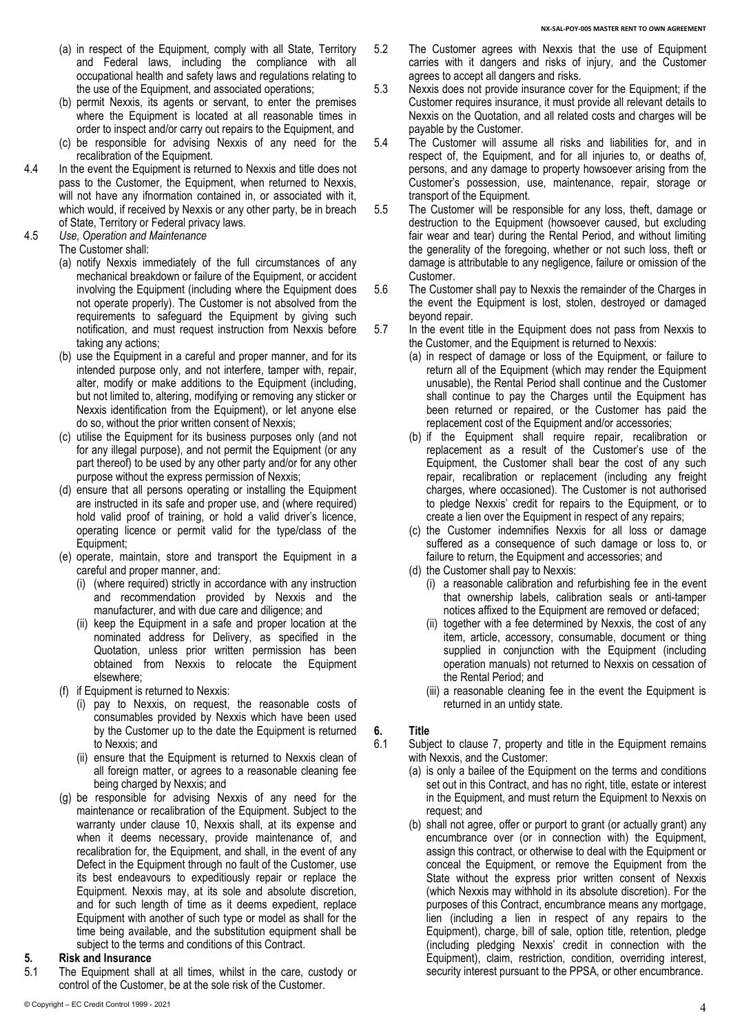- (a) in respect of the Equipment, comply with all State, Territory and Federal laws, including the compliance with all occupational health and safety laws and regulations relating to the use of the Equipment, and associated operations;
- (b) permit Nexxis, its agents or servant, to enter the premises where the Equipment is located at all reasonable times in order to inspect and/or carry out repairs to the Equipment, and
- (c) be responsible for advising Nexxis of any need for the recalibration of the Equipment.
- 4.4 In the event the Equipment is returned to Nexxis and title does not pass to the Customer, the Equipment, when returned to Nexxis, will not have any ifnormation contained in, or associated with it. which would, if received by Nexxis or any other party, be in breach of State, Territory or Federal privacy laws.

4.5 *Use, Operation and Maintenance*

- The Customer shall:
	- (a) notify Nexxis immediately of the full circumstances of any mechanical breakdown or failure of the Equipment, or accident involving the Equipment (including where the Equipment does not operate properly). The Customer is not absolved from the requirements to safeguard the Equipment by giving such notification, and must request instruction from Nexxis before taking any actions;
	- (b) use the Equipment in a careful and proper manner, and for its intended purpose only, and not interfere, tamper with, repair, alter, modify or make additions to the Equipment (including, but not limited to, altering, modifying or removing any sticker or Nexxis identification from the Equipment), or let anyone else do so, without the prior written consent of Nexxis;
	- (c) utilise the Equipment for its business purposes only (and not for any illegal purpose), and not permit the Equipment (or any part thereof) to be used by any other party and/or for any other purpose without the express permission of Nexxis;
	- (d) ensure that all persons operating or installing the Equipment are instructed in its safe and proper use, and (where required) hold valid proof of training, or hold a valid driver's licence, operating licence or permit valid for the type/class of the Equipment;
	- (e) operate, maintain, store and transport the Equipment in a careful and proper manner, and:
		- (i) (where required) strictly in accordance with any instruction and recommendation provided by Nexxis and the manufacturer, and with due care and diligence; and
		- (ii) keep the Equipment in a safe and proper location at the nominated address for Delivery, as specified in the Quotation, unless prior written permission has been obtained from Nexxis to relocate the Equipment elsewhere;
	- (f) if Equipment is returned to Nexxis:
		- (i) pay to Nexxis, on request, the reasonable costs of consumables provided by Nexxis which have been used by the Customer up to the date the Equipment is returned to Nexxis; and
		- (ii) ensure that the Equipment is returned to Nexxis clean of all foreign matter, or agrees to a reasonable cleaning fee being charged by Nexxis; and
	- (g) be responsible for advising Nexxis of any need for the maintenance or recalibration of the Equipment. Subject to the warranty under clause 10, Nexxis shall, at its expense and when it deems necessary, provide maintenance of, and recalibration for, the Equipment, and shall, in the event of any Defect in the Equipment through no fault of the Customer, use its best endeavours to expeditiously repair or replace the Equipment. Nexxis may, at its sole and absolute discretion, and for such length of time as it deems expedient, replace Equipment with another of such type or model as shall for the time being available, and the substitution equipment shall be subject to the terms and conditions of this Contract.

# **5. Risk and Insurance**

The Equipment shall at all times, whilst in the care, custody or control of the Customer, be at the sole risk of the Customer.

- 5.2 The Customer agrees with Nexxis that the use of Equipment carries with it dangers and risks of injury, and the Customer agrees to accept all dangers and risks.
- 5.3 Nexxis does not provide insurance cover for the Equipment; if the Customer requires insurance, it must provide all relevant details to Nexxis on the Quotation, and all related costs and charges will be payable by the Customer.
- 5.4 The Customer will assume all risks and liabilities for, and in respect of, the Equipment, and for all injuries to, or deaths of, persons, and any damage to property howsoever arising from the Customer's possession, use, maintenance, repair, storage or transport of the Equipment.
- 5.5 The Customer will be responsible for any loss, theft, damage or destruction to the Equipment (howsoever caused, but excluding fair wear and tear) during the Rental Period, and without limiting the generality of the foregoing, whether or not such loss, theft or damage is attributable to any negligence, failure or omission of the Customer.
- 5.6 The Customer shall pay to Nexxis the remainder of the Charges in the event the Equipment is lost, stolen, destroyed or damaged beyond repair.
- 5.7 In the event title in the Equipment does not pass from Nexxis to the Customer, and the Equipment is returned to Nexxis:
	- (a) in respect of damage or loss of the Equipment, or failure to return all of the Equipment (which may render the Equipment unusable), the Rental Period shall continue and the Customer shall continue to pay the Charges until the Equipment has been returned or repaired, or the Customer has paid the replacement cost of the Equipment and/or accessories;
	- (b) if the Equipment shall require repair, recalibration or replacement as a result of the Customer's use of the Equipment, the Customer shall bear the cost of any such repair, recalibration or replacement (including any freight charges, where occasioned). The Customer is not authorised to pledge Nexxis' credit for repairs to the Equipment, or to create a lien over the Equipment in respect of any repairs;
	- (c) the Customer indemnifies Nexxis for all loss or damage suffered as a consequence of such damage or loss to, or failure to return, the Equipment and accessories; and
	- (d) the Customer shall pay to Nexxis:
		- (i) a reasonable calibration and refurbishing fee in the event that ownership labels, calibration seals or anti-tamper notices affixed to the Equipment are removed or defaced;
		- (ii) together with a fee determined by Nexxis, the cost of any item, article, accessory, consumable, document or thing supplied in conjunction with the Equipment (including operation manuals) not returned to Nexxis on cessation of the Rental Period; and
		- (iii) a reasonable cleaning fee in the event the Equipment is returned in an untidy state.

# **6. Title**

Subject to clause 7, property and title in the Equipment remains with Nexxis, and the Customer:

- (a) is only a bailee of the Equipment on the terms and conditions set out in this Contract, and has no right, title, estate or interest in the Equipment, and must return the Equipment to Nexxis on request; and
- (b) shall not agree, offer or purport to grant (or actually grant) any encumbrance over (or in connection with) the Equipment, assign this contract, or otherwise to deal with the Equipment or conceal the Equipment, or remove the Equipment from the State without the express prior written consent of Nexxis (which Nexxis may withhold in its absolute discretion). For the purposes of this Contract, encumbrance means any mortgage, lien (including a lien in respect of any repairs to the Equipment), charge, bill of sale, option title, retention, pledge (including pledging Nexxis' credit in connection with the Equipment), claim, restriction, condition, overriding interest, security interest pursuant to the PPSA, or other encumbrance.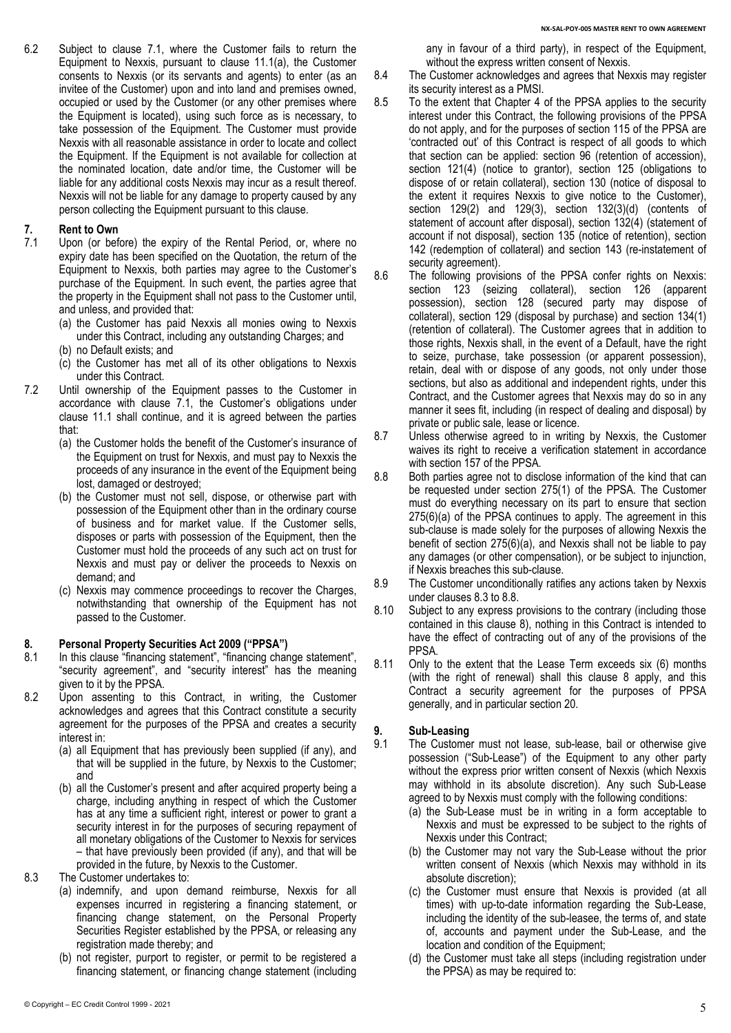6.2 Subject to clause 7.1, where the Customer fails to return the Equipment to Nexxis, pursuant to clause 11.1(a), the Customer consents to Nexxis (or its servants and agents) to enter (as an invitee of the Customer) upon and into land and premises owned, occupied or used by the Customer (or any other premises where the Equipment is located), using such force as is necessary, to take possession of the Equipment. The Customer must provide Nexxis with all reasonable assistance in order to locate and collect the Equipment. If the Equipment is not available for collection at the nominated location, date and/or time, the Customer will be liable for any additional costs Nexxis may incur as a result thereof. Nexxis will not be liable for any damage to property caused by any person collecting the Equipment pursuant to this clause.

# **7. Rent to Own**

- <span id="page-4-0"></span>Upon (or before) the expiry of the Rental Period, or, where no expiry date has been specified on the Quotation, the return of the Equipment to Nexxis, both parties may agree to the Customer's purchase of the Equipment. In such event, the parties agree that the property in the Equipment shall not pass to the Customer until, and unless, and provided that:
	- (a) the Customer has paid Nexxis all monies owing to Nexxis under this Contract, including any outstanding Charges; and
	- (b) no Default exists; and
	- (c) the Customer has met all of its other obligations to Nexxis under this Contract.
- 7.2 Until ownership of the Equipment passes to the Customer in accordance with clause [7.1,](#page-4-0) the Customer's obligations under clause [11.1](#page-5-0) shall continue, and it is agreed between the parties that:
	- (a) the Customer holds the benefit of the Customer's insurance of the Equipment on trust for Nexxis, and must pay to Nexxis the proceeds of any insurance in the event of the Equipment being lost, damaged or destroyed;
	- (b) the Customer must not sell, dispose, or otherwise part with possession of the Equipment other than in the ordinary course of business and for market value. If the Customer sells, disposes or parts with possession of the Equipment, then the Customer must hold the proceeds of any such act on trust for Nexxis and must pay or deliver the proceeds to Nexxis on demand; and
	- (c) Nexxis may commence proceedings to recover the Charges, notwithstanding that ownership of the Equipment has not passed to the Customer.

# **8. Personal Property Securities Act 2009 ("PPSA")**

- In this clause "financing statement", "financing change statement", "security agreement", and "security interest" has the meaning given to it by the PPSA.
- 8.2 Upon assenting to this Contract, in writing, the Customer acknowledges and agrees that this Contract constitute a security agreement for the purposes of the PPSA and creates a security interest in:
	- (a) all Equipment that has previously been supplied (if any), and that will be supplied in the future, by Nexxis to the Customer; and
	- (b) all the Customer's present and after acquired property being a charge, including anything in respect of which the Customer has at any time a sufficient right, interest or power to grant a security interest in for the purposes of securing repayment of all monetary obligations of the Customer to Nexxis for services – that have previously been provided (if any), and that will be provided in the future, by Nexxis to the Customer.
- 8.3 The Customer undertakes to:
	- (a) indemnify, and upon demand reimburse, Nexxis for all expenses incurred in registering a financing statement, or financing change statement, on the Personal Property Securities Register established by the PPSA, or releasing any registration made thereby; and
	- (b) not register, purport to register, or permit to be registered a financing statement, or financing change statement (including

any in favour of a third party), in respect of the Equipment, without the express written consent of Nexxis.

- 8.4 The Customer acknowledges and agrees that Nexxis may register its security interest as a PMSI.
- 8.5 To the extent that Chapter 4 of the PPSA applies to the security interest under this Contract, the following provisions of the PPSA do not apply, and for the purposes of section 115 of the PPSA are 'contracted out' of this Contract is respect of all goods to which that section can be applied: section 96 (retention of accession), section 121(4) (notice to grantor), section 125 (obligations to dispose of or retain collateral), section 130 (notice of disposal to the extent it requires Nexxis to give notice to the Customer), section 129(2) and 129(3), section 132(3)(d) (contents of statement of account after disposal), section 132(4) (statement of account if not disposal), section 135 (notice of retention), section 142 (redemption of collateral) and section 143 (re-instatement of security agreement).
- 8.6 The following provisions of the PPSA confer rights on Nexxis: section 123 (seizing collateral), section 126 (apparent possession), section 128 (secured party may dispose of collateral), section 129 (disposal by purchase) and section 134(1) (retention of collateral). The Customer agrees that in addition to those rights, Nexxis shall, in the event of a Default, have the right to seize, purchase, take possession (or apparent possession), retain, deal with or dispose of any goods, not only under those sections, but also as additional and independent rights, under this Contract, and the Customer agrees that Nexxis may do so in any manner it sees fit, including (in respect of dealing and disposal) by private or public sale, lease or licence.
- 8.7 Unless otherwise agreed to in writing by Nexxis, the Customer waives its right to receive a verification statement in accordance with section 157 of the PPSA.
- 8.8 Both parties agree not to disclose information of the kind that can be requested under section 275(1) of the PPSA. The Customer must do everything necessary on its part to ensure that section 275(6)(a) of the PPSA continues to apply. The agreement in this sub-clause is made solely for the purposes of allowing Nexxis the benefit of section 275(6)(a), and Nexxis shall not be liable to pay any damages (or other compensation), or be subject to injunction, if Nexxis breaches this sub-clause.
- 8.9 The Customer unconditionally ratifies any actions taken by Nexxis under clauses 8.3 to 8.8.
- 8.10 Subject to any express provisions to the contrary (including those contained in this clause 8), nothing in this Contract is intended to have the effect of contracting out of any of the provisions of the PPSA.
- 8.11 Only to the extent that the Lease Term exceeds six (6) months (with the right of renewal) shall this clause 8 apply, and this Contract a security agreement for the purposes of PPSA generally, and in particular section 20.

### <span id="page-4-1"></span>**9. Sub-Leasing**

- 9.1 The Customer must not lease, sub-lease, bail or otherwise give possession ("Sub-Lease") of the Equipment to any other party without the express prior written consent of Nexxis (which Nexxis may withhold in its absolute discretion). Any such Sub-Lease agreed to by Nexxis must comply with the following conditions:
	- (a) the Sub-Lease must be in writing in a form acceptable to Nexxis and must be expressed to be subject to the rights of Nexxis under this Contract;
	- (b) the Customer may not vary the Sub-Lease without the prior written consent of Nexxis (which Nexxis may withhold in its absolute discretion);
	- (c) the Customer must ensure that Nexxis is provided (at all times) with up-to-date information regarding the Sub-Lease, including the identity of the sub-leasee, the terms of, and state of, accounts and payment under the Sub-Lease, and the location and condition of the Equipment;
	- (d) the Customer must take all steps (including registration under the PPSA) as may be required to: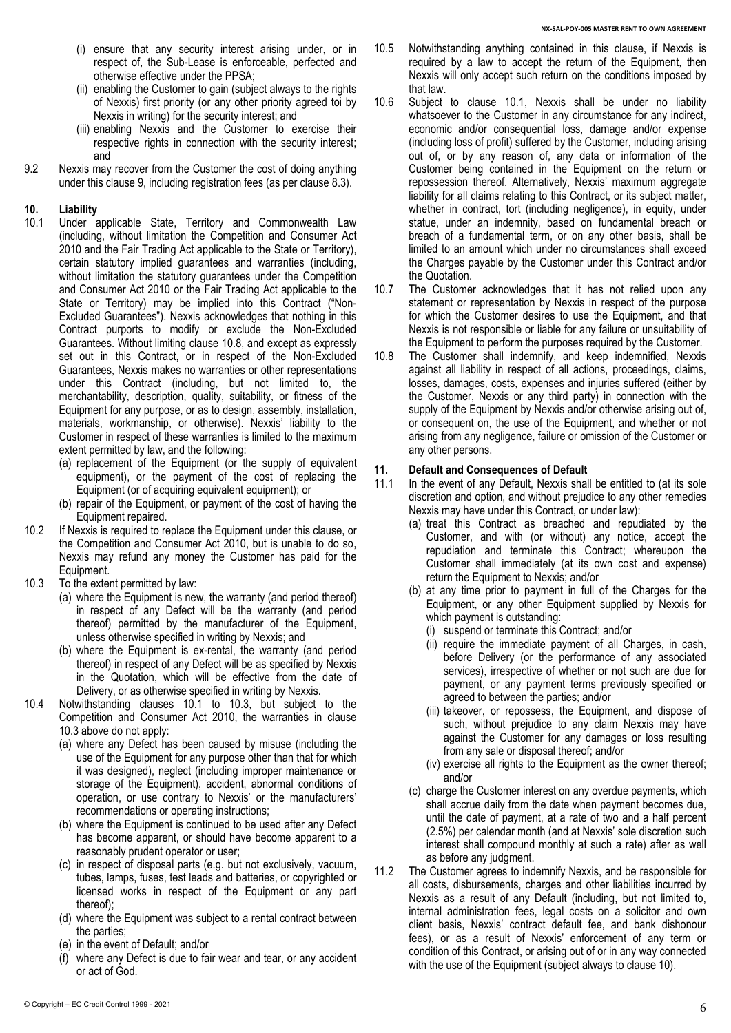- (i) ensure that any security interest arising under, or in respect of, the Sub-Lease is enforceable, perfected and otherwise effective under the PPSA;
- (ii) enabling the Customer to gain (subject always to the rights of Nexxis) first priority (or any other priority agreed toi by Nexxis in writing) for the security interest; and
- (iii) enabling Nexxis and the Customer to exercise their respective rights in connection with the security interest; and
- 9.2 Nexxis may recover from the Customer the cost of doing anything under this claus[e 9,](#page-4-1) including registration fees (as per clause 8.3).

# **10. Liability**

- Under applicable State, Territory and Commonwealth Law (including, without limitation the Competition and Consumer Act 2010 and the Fair Trading Act applicable to the State or Territory), certain statutory implied guarantees and warranties (including, without limitation the statutory guarantees under the Competition and Consumer Act 2010 or the Fair Trading Act applicable to the State or Territory) may be implied into this Contract ("Non-Excluded Guarantees"). Nexxis acknowledges that nothing in this Contract purports to modify or exclude the Non-Excluded Guarantees. Without limiting clause 10.8, and except as expressly set out in this Contract, or in respect of the Non-Excluded Guarantees, Nexxis makes no warranties or other representations under this Contract (including, but not limited to, the merchantability, description, quality, suitability, or fitness of the Equipment for any purpose, or as to design, assembly, installation, materials, workmanship, or otherwise). Nexxis' liability to the Customer in respect of these warranties is limited to the maximum extent permitted by law, and the following:
	- (a) replacement of the Equipment (or the supply of equivalent equipment), or the payment of the cost of replacing the Equipment (or of acquiring equivalent equipment); or
	- (b) repair of the Equipment, or payment of the cost of having the Equipment repaired.
- 10.2 If Nexxis is required to replace the Equipment under this clause, or the Competition and Consumer Act 2010, but is unable to do so, Nexxis may refund any money the Customer has paid for the Equipment.
- 10.3 To the extent permitted by law:
	- (a) where the Equipment is new, the warranty (and period thereof) in respect of any Defect will be the warranty (and period thereof) permitted by the manufacturer of the Equipment, unless otherwise specified in writing by Nexxis; and
	- (b) where the Equipment is ex-rental, the warranty (and period thereof) in respect of any Defect will be as specified by Nexxis in the Quotation, which will be effective from the date of Delivery, or as otherwise specified in writing by Nexxis.
- 10.4 Notwithstanding clauses 10.1 to 10.3, but subject to the Competition and Consumer Act 2010, the warranties in clause 10.3 above do not apply:
	- (a) where any Defect has been caused by misuse (including the use of the Equipment for any purpose other than that for which it was designed), neglect (including improper maintenance or storage of the Equipment), accident, abnormal conditions of operation, or use contrary to Nexxis' or the manufacturers' recommendations or operating instructions;
	- (b) where the Equipment is continued to be used after any Defect has become apparent, or should have become apparent to a reasonably prudent operator or user;
	- (c) in respect of disposal parts (e.g. but not exclusively, vacuum, tubes, lamps, fuses, test leads and batteries, or copyrighted or licensed works in respect of the Equipment or any part thereof);
	- (d) where the Equipment was subject to a rental contract between the parties;
	- (e) in the event of Default; and/or
	- (f) where any Defect is due to fair wear and tear, or any accident or act of God.
- 10.5 Notwithstanding anything contained in this clause, if Nexxis is required by a law to accept the return of the Equipment, then Nexxis will only accept such return on the conditions imposed by that law.
- 10.6 Subject to clause 10.1, Nexxis shall be under no liability whatsoever to the Customer in any circumstance for any indirect, economic and/or consequential loss, damage and/or expense (including loss of profit) suffered by the Customer, including arising out of, or by any reason of, any data or information of the Customer being contained in the Equipment on the return or repossession thereof. Alternatively, Nexxis' maximum aggregate liability for all claims relating to this Contract, or its subject matter, whether in contract, tort (including negligence), in equity, under statue, under an indemnity, based on fundamental breach or breach of a fundamental term, or on any other basis, shall be limited to an amount which under no circumstances shall exceed the Charges payable by the Customer under this Contract and/or the Quotation.
- 10.7 The Customer acknowledges that it has not relied upon any statement or representation by Nexxis in respect of the purpose for which the Customer desires to use the Equipment, and that Nexxis is not responsible or liable for any failure or unsuitability of the Equipment to perform the purposes required by the Customer.
- 10.8 The Customer shall indemnify, and keep indemnified, Nexxis against all liability in respect of all actions, proceedings, claims, losses, damages, costs, expenses and injuries suffered (either by the Customer, Nexxis or any third party) in connection with the supply of the Equipment by Nexxis and/or otherwise arising out of, or consequent on, the use of the Equipment, and whether or not arising from any negligence, failure or omission of the Customer or any other persons.

# <span id="page-5-0"></span>**11. Default and Consequences of Default**

- In the event of any Default, Nexxis shall be entitled to (at its sole discretion and option, and without prejudice to any other remedies Nexxis may have under this Contract, or under law):
	- (a) treat this Contract as breached and repudiated by the Customer, and with (or without) any notice, accept the repudiation and terminate this Contract; whereupon the Customer shall immediately (at its own cost and expense) return the Equipment to Nexxis; and/or
	- (b) at any time prior to payment in full of the Charges for the Equipment, or any other Equipment supplied by Nexxis for which payment is outstanding:
		- (i) suspend or terminate this Contract; and/or
		- (ii) require the immediate payment of all Charges, in cash, before Delivery (or the performance of any associated services), irrespective of whether or not such are due for payment, or any payment terms previously specified or agreed to between the parties; and/or
		- (iii) takeover, or repossess, the Equipment, and dispose of such, without prejudice to any claim Nexxis may have against the Customer for any damages or loss resulting from any sale or disposal thereof; and/or
		- (iv) exercise all rights to the Equipment as the owner thereof; and/or
	- (c) charge the Customer interest on any overdue payments, which shall accrue daily from the date when payment becomes due, until the date of payment, at a rate of two and a half percent (2.5%) per calendar month (and at Nexxis' sole discretion such interest shall compound monthly at such a rate) after as well as before any judgment.
- 11.2 The Customer agrees to indemnify Nexxis, and be responsible for all costs, disbursements, charges and other liabilities incurred by Nexxis as a result of any Default (including, but not limited to, internal administration fees, legal costs on a solicitor and own client basis, Nexxis' contract default fee, and bank dishonour fees), or as a result of Nexxis' enforcement of any term or condition of this Contract, or arising out of or in any way connected with the use of the Equipment (subject always to clause 10).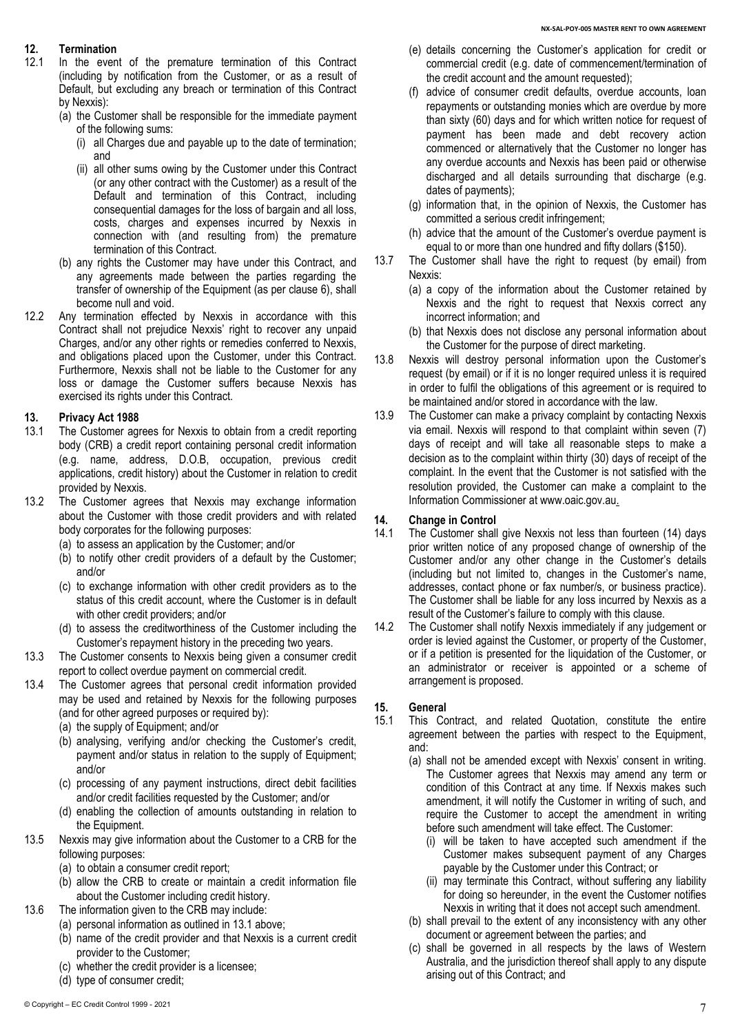## **12. Termination**

- In the event of the premature termination of this Contract (including by notification from the Customer, or as a result of Default, but excluding any breach or termination of this Contract by Nexxis):
	- (a) the Customer shall be responsible for the immediate payment of the following sums:
		- (i) all Charges due and payable up to the date of termination; and
		- (ii) all other sums owing by the Customer under this Contract (or any other contract with the Customer) as a result of the Default and termination of this Contract, including consequential damages for the loss of bargain and all loss, costs, charges and expenses incurred by Nexxis in connection with (and resulting from) the premature termination of this Contract.
	- (b) any rights the Customer may have under this Contract, and any agreements made between the parties regarding the transfer of ownership of the Equipment (as per clause 6), shall become null and void.
- 12.2 Any termination effected by Nexxis in accordance with this Contract shall not prejudice Nexxis' right to recover any unpaid Charges, and/or any other rights or remedies conferred to Nexxis, and obligations placed upon the Customer, under this Contract. Furthermore, Nexxis shall not be liable to the Customer for any loss or damage the Customer suffers because Nexxis has exercised its rights under this Contract.

### **13. Privacy Act 1988**

- 13.1 The Customer agrees for Nexxis to obtain from a credit reporting body (CRB) a credit report containing personal credit information (e.g. name, address, D.O.B, occupation, previous credit applications, credit history) about the Customer in relation to credit provided by Nexxis.
- 13.2 The Customer agrees that Nexxis may exchange information about the Customer with those credit providers and with related body corporates for the following purposes:
	- (a) to assess an application by the Customer; and/or
	- (b) to notify other credit providers of a default by the Customer; and/or
	- (c) to exchange information with other credit providers as to the status of this credit account, where the Customer is in default with other credit providers; and/or
	- (d) to assess the creditworthiness of the Customer including the Customer's repayment history in the preceding two years.
- 13.3 The Customer consents to Nexxis being given a consumer credit report to collect overdue payment on commercial credit.
- 13.4 The Customer agrees that personal credit information provided may be used and retained by Nexxis for the following purposes (and for other agreed purposes or required by):
	- (a) the supply of Equipment; and/or
	- (b) analysing, verifying and/or checking the Customer's credit, payment and/or status in relation to the supply of Equipment; and/or
	- (c) processing of any payment instructions, direct debit facilities and/or credit facilities requested by the Customer; and/or
	- (d) enabling the collection of amounts outstanding in relation to the Equipment.
- 13.5 Nexxis may give information about the Customer to a CRB for the following purposes:
	- (a) to obtain a consumer credit report;
	- (b) allow the CRB to create or maintain a credit information file about the Customer including credit history.
- 13.6 The information given to the CRB may include:
	- (a) personal information as outlined in 13.1 above;
	- (b) name of the credit provider and that Nexxis is a current credit provider to the Customer;
	- (c) whether the credit provider is a licensee;
	- (d) type of consumer credit;
- (e) details concerning the Customer's application for credit or commercial credit (e.g. date of commencement/termination of the credit account and the amount requested);
- (f) advice of consumer credit defaults, overdue accounts, loan repayments or outstanding monies which are overdue by more than sixty (60) days and for which written notice for request of payment has been made and debt recovery action commenced or alternatively that the Customer no longer has any overdue accounts and Nexxis has been paid or otherwise discharged and all details surrounding that discharge (e.g. dates of payments);
- (g) information that, in the opinion of Nexxis, the Customer has committed a serious credit infringement;
- (h) advice that the amount of the Customer's overdue payment is equal to or more than one hundred and fifty dollars (\$150).
- 13.7 The Customer shall have the right to request (by email) from Nexxis:
	- (a) a copy of the information about the Customer retained by Nexxis and the right to request that Nexxis correct any incorrect information; and
	- (b) that Nexxis does not disclose any personal information about the Customer for the purpose of direct marketing.
- 13.8 Nexxis will destroy personal information upon the Customer's request (by email) or if it is no longer required unless it is required in order to fulfil the obligations of this agreement or is required to be maintained and/or stored in accordance with the law.
- 13.9 The Customer can make a privacy complaint by contacting Nexxis via email. Nexxis will respond to that complaint within seven (7) days of receipt and will take all reasonable steps to make a decision as to the complaint within thirty (30) days of receipt of the complaint. In the event that the Customer is not satisfied with the resolution provided, the Customer can make a complaint to the Information Commissioner at www.oaic.gov.au.

#### **14. Change in Control**

- 14.1 The Customer shall give Nexxis not less than fourteen (14) days prior written notice of any proposed change of ownership of the Customer and/or any other change in the Customer's details (including but not limited to, changes in the Customer's name, addresses, contact phone or fax number/s, or business practice). The Customer shall be liable for any loss incurred by Nexxis as a result of the Customer's failure to comply with this clause.
- 14.2 The Customer shall notify Nexxis immediately if any judgement or order is levied against the Customer, or property of the Customer, or if a petition is presented for the liquidation of the Customer, or an administrator or receiver is appointed or a scheme of arrangement is proposed.

## **15. General**

- This Contract, and related Quotation, constitute the entire agreement between the parties with respect to the Equipment, and:
	- (a) shall not be amended except with Nexxis' consent in writing. The Customer agrees that Nexxis may amend any term or condition of this Contract at any time. If Nexxis makes such amendment, it will notify the Customer in writing of such, and require the Customer to accept the amendment in writing before such amendment will take effect. The Customer:
		- (i) will be taken to have accepted such amendment if the Customer makes subsequent payment of any Charges payable by the Customer under this Contract; or
		- (ii) may terminate this Contract, without suffering any liability for doing so hereunder, in the event the Customer notifies Nexxis in writing that it does not accept such amendment.
	- (b) shall prevail to the extent of any inconsistency with any other document or agreement between the parties; and
	- (c) shall be governed in all respects by the laws of Western Australia, and the jurisdiction thereof shall apply to any dispute arising out of this Contract; and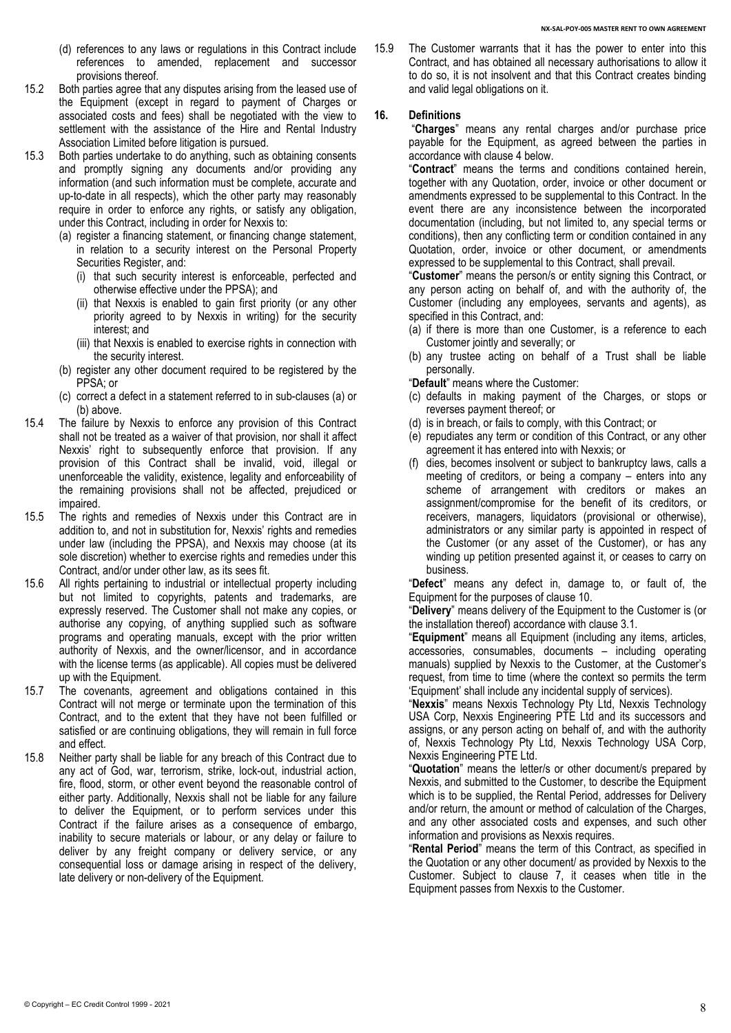- (d) references to any laws or regulations in this Contract include references to amended, replacement and successor provisions thereof.
- 15.2 Both parties agree that any disputes arising from the leased use of the Equipment (except in regard to payment of Charges or associated costs and fees) shall be negotiated with the view to settlement with the assistance of the Hire and Rental Industry Association Limited before litigation is pursued.
- <span id="page-7-0"></span>15.3 Both parties undertake to do anything, such as obtaining consents and promptly signing any documents and/or providing any information (and such information must be complete, accurate and up-to-date in all respects), which the other party may reasonably require in order to enforce any rights, or satisfy any obligation, under this Contract, including in order for Nexxis to:
	- (a) register a financing statement, or financing change statement, in relation to a security interest on the Personal Property Securities Register, and:
		- (i) that such security interest is enforceable, perfected and otherwise effective under the PPSA); and
		- (ii) that Nexxis is enabled to gain first priority (or any other priority agreed to by Nexxis in writing) for the security interest; and
		- (iii) that Nexxis is enabled to exercise rights in connection with the security interest.
	- (b) register any other document required to be registered by the PPSA; or
	- (c) correct a defect in a statement referred to in sub-clauses [\(a\)](#page-7-0) or [\(b\)](#page-7-1) above.
- <span id="page-7-1"></span>15.4 The failure by Nexxis to enforce any provision of this Contract shall not be treated as a waiver of that provision, nor shall it affect Nexxis' right to subsequently enforce that provision. If any provision of this Contract shall be invalid, void, illegal or unenforceable the validity, existence, legality and enforceability of the remaining provisions shall not be affected, prejudiced or impaired.
- 15.5 The rights and remedies of Nexxis under this Contract are in addition to, and not in substitution for, Nexxis' rights and remedies under law (including the PPSA), and Nexxis may choose (at its sole discretion) whether to exercise rights and remedies under this Contract, and/or under other law, as its sees fit.
- 15.6 All rights pertaining to industrial or intellectual property including but not limited to copyrights, patents and trademarks, are expressly reserved. The Customer shall not make any copies, or authorise any copying, of anything supplied such as software programs and operating manuals, except with the prior written authority of Nexxis, and the owner/licensor, and in accordance with the license terms (as applicable). All copies must be delivered up with the Equipment.
- 15.7 The covenants, agreement and obligations contained in this Contract will not merge or terminate upon the termination of this Contract, and to the extent that they have not been fulfilled or satisfied or are continuing obligations, they will remain in full force and effect.
- 15.8 Neither party shall be liable for any breach of this Contract due to any act of God, war, terrorism, strike, lock-out, industrial action, fire, flood, storm, or other event beyond the reasonable control of either party. Additionally, Nexxis shall not be liable for any failure to deliver the Equipment, or to perform services under this Contract if the failure arises as a consequence of embargo, inability to secure materials or labour, or any delay or failure to deliver by any freight company or delivery service, or any consequential loss or damage arising in respect of the delivery, late delivery or non-delivery of the Equipment.

15.9 The Customer warrants that it has the power to enter into this Contract, and has obtained all necessary authorisations to allow it to do so, it is not insolvent and that this Contract creates binding and valid legal obligations on it.

#### **16. Definitions**

"**Charges**" means any rental charges and/or purchase price payable for the Equipment, as agreed between the parties in accordance with claus[e 4](#page-2-2) below.

"**Contract**" means the terms and conditions contained herein, together with any Quotation, order, invoice or other document or amendments expressed to be supplemental to this Contract. In the event there are any inconsistence between the incorporated documentation (including, but not limited to, any special terms or conditions), then any conflicting term or condition contained in any Quotation, order, invoice or other document, or amendments expressed to be supplemental to this Contract, shall prevail.

"**Customer**" means the person/s or entity signing this Contract, or any person acting on behalf of, and with the authority of, the Customer (including any employees, servants and agents), as specified in this Contract, and:

- (a) if there is more than one Customer, is a reference to each Customer jointly and severally; or
- (b) any trustee acting on behalf of a Trust shall be liable personally.

"**Default**" means where the Customer:

- (c) defaults in making payment of the Charges, or stops or reverses payment thereof; or
- (d) is in breach, or fails to comply, with this Contract; or
- (e) repudiates any term or condition of this Contract, or any other agreement it has entered into with Nexxis; or
- (f) dies, becomes insolvent or subject to bankruptcy laws, calls a meeting of creditors, or being a company – enters into any scheme of arrangement with creditors or makes an assignment/compromise for the benefit of its creditors, or receivers, managers, liquidators (provisional or otherwise), administrators or any similar party is appointed in respect of the Customer (or any asset of the Customer), or has any winding up petition presented against it, or ceases to carry on business.

"**Defect**" means any defect in, damage to, or fault of, the Equipment for the purposes of clause 10.

"**Delivery**" means delivery of the Equipment to the Customer is (or the installation thereof) accordance with clause 3.1.

"**Equipment**" means all Equipment (including any items, articles, accessories, consumables, documents – including operating manuals) supplied by Nexxis to the Customer, at the Customer's request, from time to time (where the context so permits the term 'Equipment' shall include any incidental supply of services).

"**Nexxis**" means Nexxis Technology Pty Ltd, Nexxis Technology USA Corp, Nexxis Engineering PTE Ltd and its successors and assigns, or any person acting on behalf of, and with the authority of, Nexxis Technology Pty Ltd, Nexxis Technology USA Corp, Nexxis Engineering PTE Ltd.

"**Quotation**" means the letter/s or other document/s prepared by Nexxis, and submitted to the Customer, to describe the Equipment which is to be supplied, the Rental Period, addresses for Delivery and/or return, the amount or method of calculation of the Charges, and any other associated costs and expenses, and such other information and provisions as Nexxis requires.

"**Rental Period**" means the term of this Contract, as specified in the Quotation or any other document/ as provided by Nexxis to the Customer. Subject to clause 7, it ceases when title in the Equipment passes from Nexxis to the Customer.